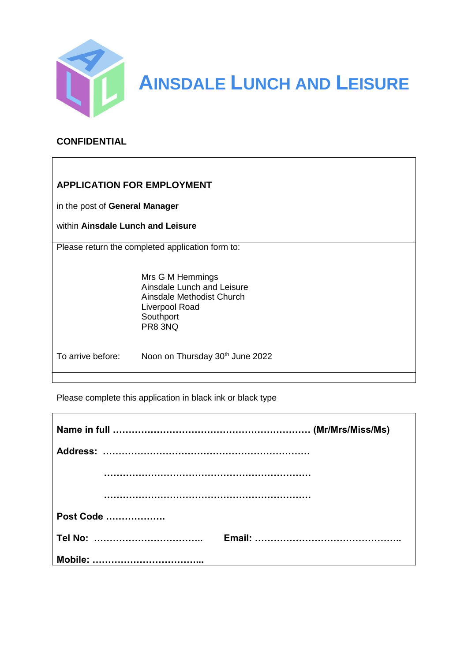

**AINSDALE LUNCH AND LEISURE**

### **CONFIDENTIAL**

# **APPLICATION FOR EMPLOYMENT**

in the post of **General Manager**

within **Ainsdale Lunch and Leisure**

Please return the completed application form to:

Mrs G M Hemmings Ainsdale Lunch and Leisure Ainsdale Methodist Church Liverpool Road **Southport** PR8 3NQ

 $\overline{1}$ 

To arrive before: Noon on Thursday 30<sup>th</sup> June 2022

Please complete this application in black ink or black type

| Post Code |  |
|-----------|--|
|           |  |
|           |  |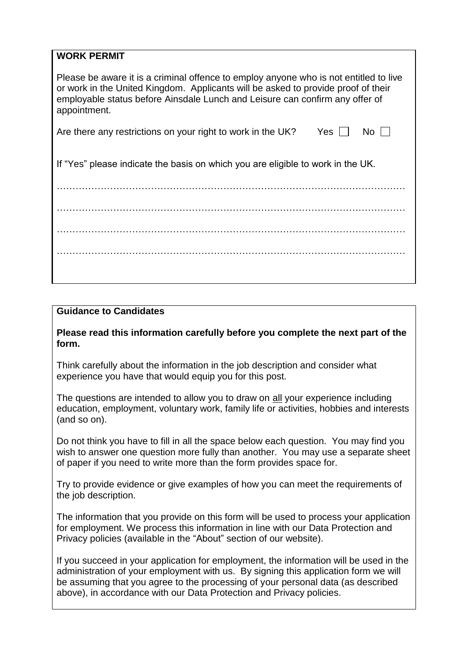# **WORK PERMIT**

Please be aware it is a criminal offence to employ anyone who is not entitled to live or work in the United Kingdom. Applicants will be asked to provide proof of their employable status before Ainsdale Lunch and Leisure can confirm any offer of appointment.

| Are there any restrictions on your right to work in the UK? | Yes $\Box$ No $\Box$ |  |
|-------------------------------------------------------------|----------------------|--|
|-------------------------------------------------------------|----------------------|--|

If "Yes" please indicate the basis on which you are eligible to work in the UK.

………………………………………………………………………………………………… ………………………………………………………………………………………………… ………………………………………………………………………………………………… …………………………………………………………………………………………………

#### **Guidance to Candidates**

#### **Please read this information carefully before you complete the next part of the form.**

Think carefully about the information in the job description and consider what experience you have that would equip you for this post.

The questions are intended to allow you to draw on all your experience including education, employment, voluntary work, family life or activities, hobbies and interests (and so on).

Do not think you have to fill in all the space below each question. You may find you wish to answer one question more fully than another. You may use a separate sheet of paper if you need to write more than the form provides space for.

Try to provide evidence or give examples of how you can meet the requirements of the job description.

The information that you provide on this form will be used to process your application for employment. We process this information in line with our Data Protection and Privacy policies (available in the "About" section of our website).

If you succeed in your application for employment, the information will be used in the administration of your employment with us. By signing this application form we will be assuming that you agree to the processing of your personal data (as described above), in accordance with our Data Protection and Privacy policies.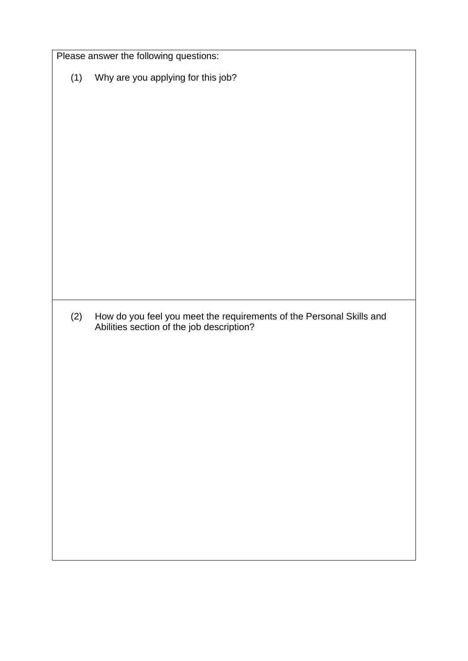|     | Please answer the following questions:                                                                            |
|-----|-------------------------------------------------------------------------------------------------------------------|
| (1) | Why are you applying for this job?                                                                                |
|     |                                                                                                                   |
|     |                                                                                                                   |
|     |                                                                                                                   |
|     |                                                                                                                   |
|     |                                                                                                                   |
| (2) | How do you feel you meet the requirements of the Personal Skills and<br>Abilities section of the job description? |
|     |                                                                                                                   |
|     |                                                                                                                   |
|     |                                                                                                                   |
|     |                                                                                                                   |
|     |                                                                                                                   |
|     |                                                                                                                   |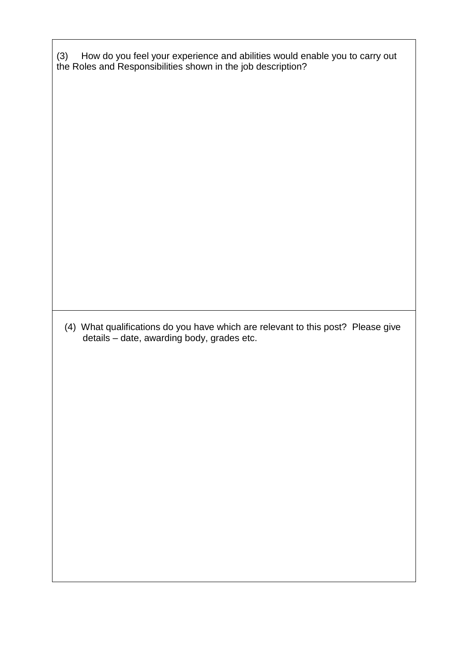(3) How do you feel your experience and abilities would enable you to carry out the Roles and Responsibilities shown in the job description?

 (4) What qualifications do you have which are relevant to this post? Please give details – date, awarding body, grades etc.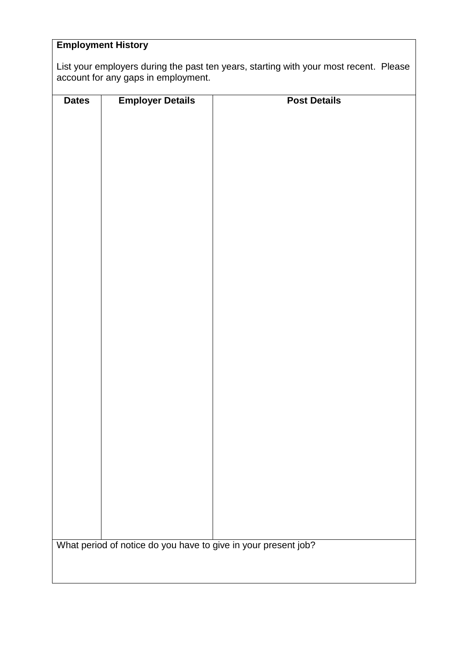# **Employment History**

List your employers during the past ten years, starting with your most recent. Please account for any gaps in employment.

| <b>Dates</b>                                                   | <b>Employer Details</b> | <b>Post Details</b> |
|----------------------------------------------------------------|-------------------------|---------------------|
|                                                                |                         |                     |
|                                                                |                         |                     |
|                                                                |                         |                     |
|                                                                |                         |                     |
|                                                                |                         |                     |
|                                                                |                         |                     |
|                                                                |                         |                     |
|                                                                |                         |                     |
|                                                                |                         |                     |
|                                                                |                         |                     |
|                                                                |                         |                     |
|                                                                |                         |                     |
|                                                                |                         |                     |
|                                                                |                         |                     |
|                                                                |                         |                     |
|                                                                |                         |                     |
|                                                                |                         |                     |
|                                                                |                         |                     |
|                                                                |                         |                     |
|                                                                |                         |                     |
|                                                                |                         |                     |
|                                                                |                         |                     |
|                                                                |                         |                     |
|                                                                |                         |                     |
|                                                                |                         |                     |
|                                                                |                         |                     |
|                                                                |                         |                     |
|                                                                |                         |                     |
|                                                                |                         |                     |
|                                                                |                         |                     |
|                                                                |                         |                     |
| What period of notice do you have to give in your present job? |                         |                     |
|                                                                |                         |                     |
|                                                                |                         |                     |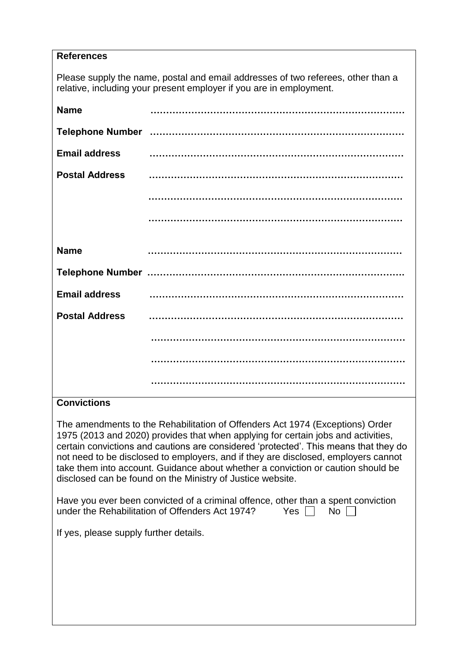#### **References**

Please supply the name, postal and email addresses of two referees, other than a relative, including your present employer if you are in employment.

| <b>Name</b>           |  |
|-----------------------|--|
|                       |  |
| <b>Email address</b>  |  |
| <b>Postal Address</b> |  |
|                       |  |
|                       |  |
| <b>Name</b>           |  |
|                       |  |
| <b>Email address</b>  |  |
| <b>Postal Address</b> |  |
|                       |  |
|                       |  |
|                       |  |

## **Convictions**

The amendments to the Rehabilitation of Offenders Act 1974 (Exceptions) Order 1975 (2013 and 2020) provides that when applying for certain jobs and activities, certain convictions and cautions are considered 'protected'. This means that they do not need to be disclosed to employers, and if they are disclosed, employers cannot take them into account. Guidance about whether a conviction or caution should be disclosed can be found on the Ministry of Justice website.

| Have you ever been convicted of a criminal offence, other than a spent conviction |  |            |  |
|-----------------------------------------------------------------------------------|--|------------|--|
| under the Rehabilitation of Offenders Act 1974?                                   |  | Yes     No |  |

If yes, please supply further details.